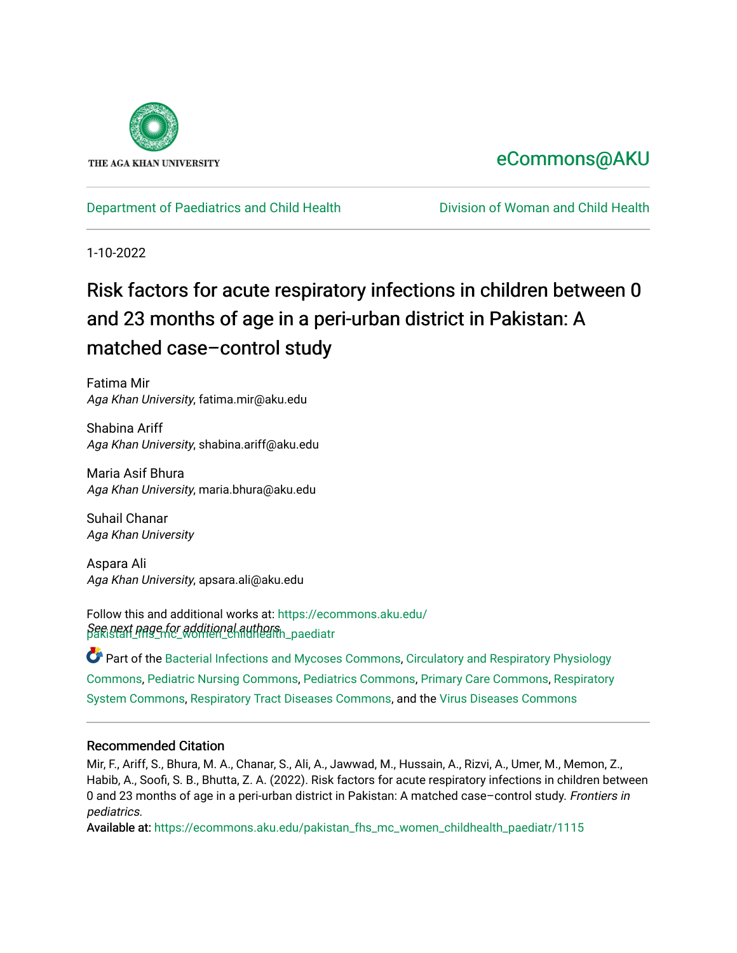

# [eCommons@AKU](https://ecommons.aku.edu/)

[Department of Paediatrics and Child Health](https://ecommons.aku.edu/pakistan_fhs_mc_women_childhealth_paediatr) **Division of Woman and Child Health** 

1-10-2022

# Risk factors for acute respiratory infections in children between 0 and 23 months of age in a peri-urban district in Pakistan: A matched case–control study

Fatima Mir Aga Khan University, fatima.mir@aku.edu

Shabina Ariff Aga Khan University, shabina.ariff@aku.edu

Maria Asif Bhura Aga Khan University, maria.bhura@aku.edu

Suhail Chanar Aga Khan University

Aspara Ali Aga Khan University, apsara.ali@aku.edu

See pext page for additional authors.<br>pakistan\_nage\_for\_women\_childhealth\_paediatr Follow this and additional works at: [https://ecommons.aku.edu/](https://ecommons.aku.edu/pakistan_fhs_mc_women_childhealth_paediatr?utm_source=ecommons.aku.edu%2Fpakistan_fhs_mc_women_childhealth_paediatr%2F1115&utm_medium=PDF&utm_campaign=PDFCoverPages)

Part of the [Bacterial Infections and Mycoses Commons](http://network.bepress.com/hgg/discipline/966?utm_source=ecommons.aku.edu%2Fpakistan_fhs_mc_women_childhealth_paediatr%2F1115&utm_medium=PDF&utm_campaign=PDFCoverPages), [Circulatory and Respiratory Physiology](http://network.bepress.com/hgg/discipline/947?utm_source=ecommons.aku.edu%2Fpakistan_fhs_mc_women_childhealth_paediatr%2F1115&utm_medium=PDF&utm_campaign=PDFCoverPages) [Commons](http://network.bepress.com/hgg/discipline/947?utm_source=ecommons.aku.edu%2Fpakistan_fhs_mc_women_childhealth_paediatr%2F1115&utm_medium=PDF&utm_campaign=PDFCoverPages), [Pediatric Nursing Commons,](http://network.bepress.com/hgg/discipline/723?utm_source=ecommons.aku.edu%2Fpakistan_fhs_mc_women_childhealth_paediatr%2F1115&utm_medium=PDF&utm_campaign=PDFCoverPages) [Pediatrics Commons](http://network.bepress.com/hgg/discipline/700?utm_source=ecommons.aku.edu%2Fpakistan_fhs_mc_women_childhealth_paediatr%2F1115&utm_medium=PDF&utm_campaign=PDFCoverPages), [Primary Care Commons,](http://network.bepress.com/hgg/discipline/1092?utm_source=ecommons.aku.edu%2Fpakistan_fhs_mc_women_childhealth_paediatr%2F1115&utm_medium=PDF&utm_campaign=PDFCoverPages) [Respiratory](http://network.bepress.com/hgg/discipline/919?utm_source=ecommons.aku.edu%2Fpakistan_fhs_mc_women_childhealth_paediatr%2F1115&utm_medium=PDF&utm_campaign=PDFCoverPages)  [System Commons,](http://network.bepress.com/hgg/discipline/919?utm_source=ecommons.aku.edu%2Fpakistan_fhs_mc_women_childhealth_paediatr%2F1115&utm_medium=PDF&utm_campaign=PDFCoverPages) [Respiratory Tract Diseases Commons](http://network.bepress.com/hgg/discipline/990?utm_source=ecommons.aku.edu%2Fpakistan_fhs_mc_women_childhealth_paediatr%2F1115&utm_medium=PDF&utm_campaign=PDFCoverPages), and the [Virus Diseases Commons](http://network.bepress.com/hgg/discipline/998?utm_source=ecommons.aku.edu%2Fpakistan_fhs_mc_women_childhealth_paediatr%2F1115&utm_medium=PDF&utm_campaign=PDFCoverPages) 

### Recommended Citation

Mir, F., Ariff, S., Bhura, M. A., Chanar, S., Ali, A., Jawwad, M., Hussain, A., Rizvi, A., Umer, M., Memon, Z., Habib, A., Soofi, S. B., Bhutta, Z. A. (2022). Risk factors for acute respiratory infections in children between 0 and 23 months of age in a peri-urban district in Pakistan: A matched case–control study. Frontiers in pediatrics.

Available at: [https://ecommons.aku.edu/pakistan\\_fhs\\_mc\\_women\\_childhealth\\_paediatr/1115](https://ecommons.aku.edu/pakistan_fhs_mc_women_childhealth_paediatr/1115)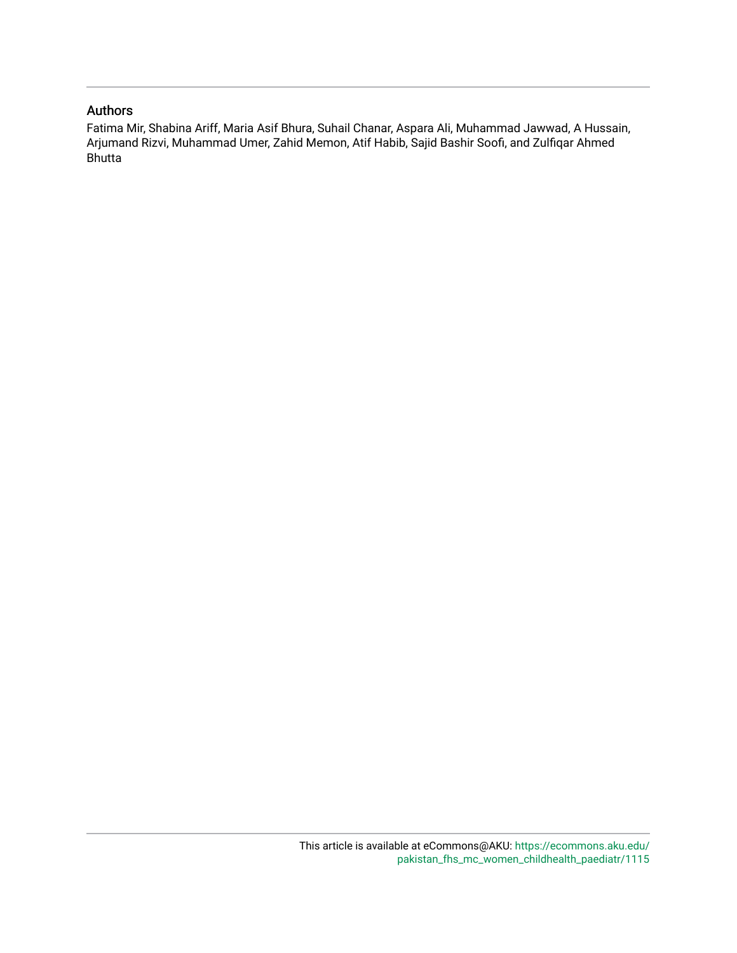## Authors

Fatima Mir, Shabina Ariff, Maria Asif Bhura, Suhail Chanar, Aspara Ali, Muhammad Jawwad, A Hussain, Arjumand Rizvi, Muhammad Umer, Zahid Memon, Atif Habib, Sajid Bashir Soofi, and Zulfiqar Ahmed Bhutta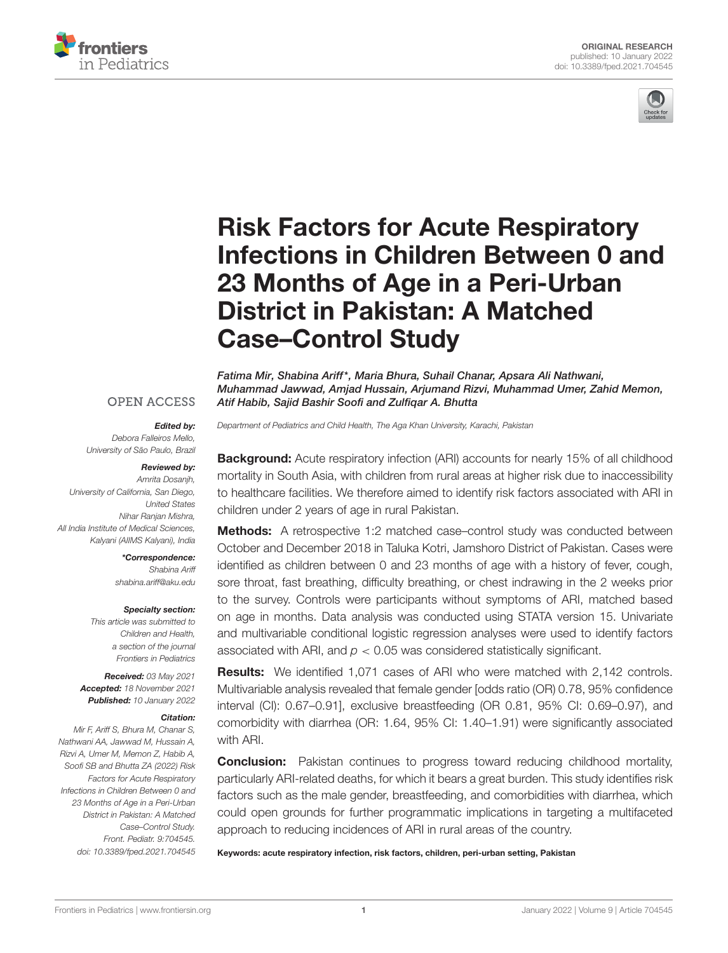



# Risk Factors for Acute Respiratory [Infections in Children Between 0 and](https://www.frontiersin.org/articles/10.3389/fped.2021.704545/full) 23 Months of Age in a Peri-Urban District in Pakistan: A Matched Case–Control Study

Fatima Mir, Shabina Ariff\*, Maria Bhura, Suhail Chanar, Apsara Ali Nathwani, Muhammad Jawwad, Amjad Hussain, Arjumand Rizvi, Muhammad Umer, Zahid Memon, Atif Habib, Sajid Bashir Soofi and Zulfiqar A. Bhutta

#### **OPEN ACCESS**

#### Edited by:

Debora Falleiros Mello, University of São Paulo, Brazil

#### Reviewed by:

Amrita Dosanjh, University of California, San Diego, United States Nihar Ranjan Mishra, All India Institute of Medical Sciences, Kalyani (AIIMS Kalyani), India

> \*Correspondence: Shabina Ariff [shabina.ariff@aku.edu](mailto:shabina.ariff@aku.edu)

#### Specialty section:

This article was submitted to Children and Health, a section of the journal Frontiers in Pediatrics

Received: 03 May 2021 Accepted: 18 November 2021 Published: 10 January 2022

#### Citation:

Mir F, Ariff S, Bhura M, Chanar S, Nathwani AA, Jawwad M, Hussain A, Rizvi A, Umer M, Memon Z, Habib A, Soofi SB and Bhutta ZA (2022) Risk Factors for Acute Respiratory Infections in Children Between 0 and 23 Months of Age in a Peri-Urban District in Pakistan: A Matched Case–Control Study. Front. Pediatr. 9:704545. doi: [10.3389/fped.2021.704545](https://doi.org/10.3389/fped.2021.704545) Department of Pediatrics and Child Health, The Aga Khan University, Karachi, Pakistan

**Background:** Acute respiratory infection (ARI) accounts for nearly 15% of all childhood mortality in South Asia, with children from rural areas at higher risk due to inaccessibility to healthcare facilities. We therefore aimed to identify risk factors associated with ARI in children under 2 years of age in rural Pakistan.

Methods: A retrospective 1:2 matched case–control study was conducted between October and December 2018 in Taluka Kotri, Jamshoro District of Pakistan. Cases were identified as children between 0 and 23 months of age with a history of fever, cough, sore throat, fast breathing, difficulty breathing, or chest indrawing in the 2 weeks prior to the survey. Controls were participants without symptoms of ARI, matched based on age in months. Data analysis was conducted using STATA version 15. Univariate and multivariable conditional logistic regression analyses were used to identify factors associated with ARI, and  $p < 0.05$  was considered statistically significant.

**Results:** We identified 1,071 cases of ARI who were matched with 2,142 controls. Multivariable analysis revealed that female gender [odds ratio (OR) 0.78, 95% confidence interval (CI): 0.67–0.91], exclusive breastfeeding (OR 0.81, 95% CI: 0.69–0.97), and comorbidity with diarrhea (OR: 1.64, 95% CI: 1.40–1.91) were significantly associated with ARI.

**Conclusion:** Pakistan continues to progress toward reducing childhood mortality, particularly ARI-related deaths, for which it bears a great burden. This study identifies risk factors such as the male gender, breastfeeding, and comorbidities with diarrhea, which could open grounds for further programmatic implications in targeting a multifaceted approach to reducing incidences of ARI in rural areas of the country.

Keywords: acute respiratory infection, risk factors, children, peri-urban setting, Pakistan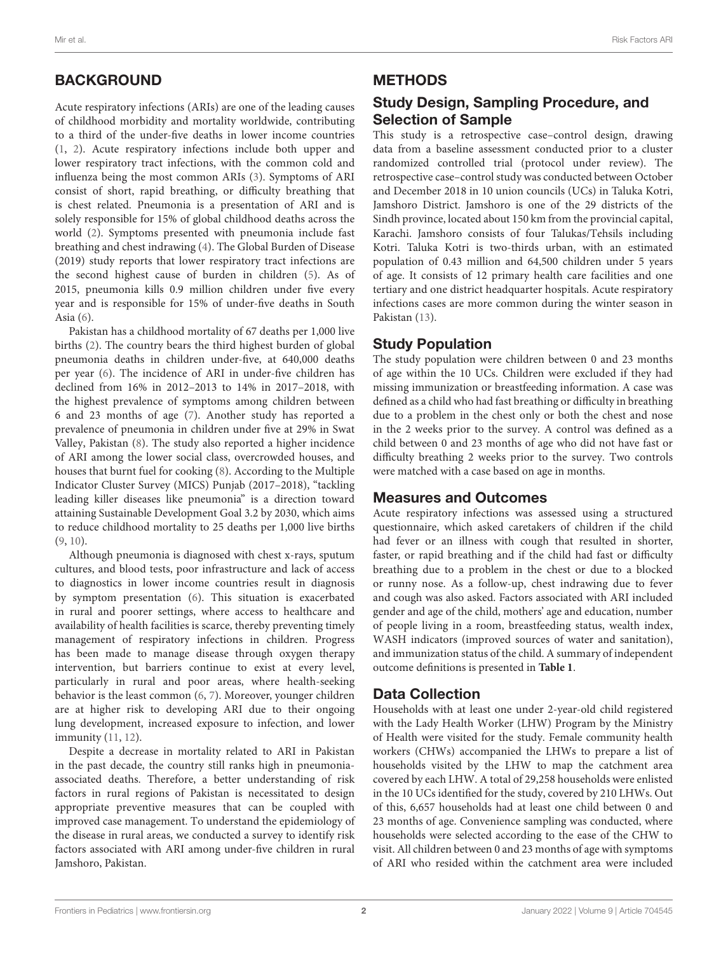Acute respiratory infections (ARIs) are one of the leading causes of childhood morbidity and mortality worldwide, contributing to a third of the under-five deaths in lower income countries [\(1,](#page-7-0) [2\)](#page-7-1). Acute respiratory infections include both upper and lower respiratory tract infections, with the common cold and influenza being the most common ARIs [\(3\)](#page-8-0). Symptoms of ARI consist of short, rapid breathing, or difficulty breathing that is chest related. Pneumonia is a presentation of ARI and is solely responsible for 15% of global childhood deaths across the world [\(2\)](#page-7-1). Symptoms presented with pneumonia include fast breathing and chest indrawing [\(4\)](#page-8-1). The Global Burden of Disease (2019) study reports that lower respiratory tract infections are the second highest cause of burden in children [\(5\)](#page-8-2). As of 2015, pneumonia kills 0.9 million children under five every year and is responsible for 15% of under-five deaths in South Asia [\(6\)](#page-8-3).

Pakistan has a childhood mortality of 67 deaths per 1,000 live births [\(2\)](#page-7-1). The country bears the third highest burden of global pneumonia deaths in children under-five, at 640,000 deaths per year [\(6\)](#page-8-3). The incidence of ARI in under-five children has declined from 16% in 2012–2013 to 14% in 2017–2018, with the highest prevalence of symptoms among children between 6 and 23 months of age [\(7\)](#page-8-4). Another study has reported a prevalence of pneumonia in children under five at 29% in Swat Valley, Pakistan [\(8\)](#page-8-5). The study also reported a higher incidence of ARI among the lower social class, overcrowded houses, and houses that burnt fuel for cooking [\(8\)](#page-8-5). According to the Multiple Indicator Cluster Survey (MICS) Punjab (2017–2018), "tackling leading killer diseases like pneumonia" is a direction toward attaining Sustainable Development Goal 3.2 by 2030, which aims to reduce childhood mortality to 25 deaths per 1,000 live births [\(9,](#page-8-6) [10\)](#page-8-7).

Although pneumonia is diagnosed with chest x-rays, sputum cultures, and blood tests, poor infrastructure and lack of access to diagnostics in lower income countries result in diagnosis by symptom presentation [\(6\)](#page-8-3). This situation is exacerbated in rural and poorer settings, where access to healthcare and availability of health facilities is scarce, thereby preventing timely management of respiratory infections in children. Progress has been made to manage disease through oxygen therapy intervention, but barriers continue to exist at every level, particularly in rural and poor areas, where health-seeking behavior is the least common [\(6,](#page-8-3) [7\)](#page-8-4). Moreover, younger children are at higher risk to developing ARI due to their ongoing lung development, increased exposure to infection, and lower immunity [\(11,](#page-8-8) [12\)](#page-8-9).

Despite a decrease in mortality related to ARI in Pakistan in the past decade, the country still ranks high in pneumoniaassociated deaths. Therefore, a better understanding of risk factors in rural regions of Pakistan is necessitated to design appropriate preventive measures that can be coupled with improved case management. To understand the epidemiology of the disease in rural areas, we conducted a survey to identify risk factors associated with ARI among under-five children in rural Jamshoro, Pakistan.

# **METHODS**

# Study Design, Sampling Procedure, and Selection of Sample

This study is a retrospective case–control design, drawing data from a baseline assessment conducted prior to a cluster randomized controlled trial (protocol under review). The retrospective case–control study was conducted between October and December 2018 in 10 union councils (UCs) in Taluka Kotri, Jamshoro District. Jamshoro is one of the 29 districts of the Sindh province, located about 150 km from the provincial capital, Karachi. Jamshoro consists of four Talukas/Tehsils including Kotri. Taluka Kotri is two-thirds urban, with an estimated population of 0.43 million and 64,500 children under 5 years of age. It consists of 12 primary health care facilities and one tertiary and one district headquarter hospitals. Acute respiratory infections cases are more common during the winter season in Pakistan [\(13\)](#page-8-10).

# Study Population

The study population were children between 0 and 23 months of age within the 10 UCs. Children were excluded if they had missing immunization or breastfeeding information. A case was defined as a child who had fast breathing or difficulty in breathing due to a problem in the chest only or both the chest and nose in the 2 weeks prior to the survey. A control was defined as a child between 0 and 23 months of age who did not have fast or difficulty breathing 2 weeks prior to the survey. Two controls were matched with a case based on age in months.

# Measures and Outcomes

Acute respiratory infections was assessed using a structured questionnaire, which asked caretakers of children if the child had fever or an illness with cough that resulted in shorter, faster, or rapid breathing and if the child had fast or difficulty breathing due to a problem in the chest or due to a blocked or runny nose. As a follow-up, chest indrawing due to fever and cough was also asked. Factors associated with ARI included gender and age of the child, mothers' age and education, number of people living in a room, breastfeeding status, wealth index, WASH indicators (improved sources of water and sanitation), and immunization status of the child. A summary of independent outcome definitions is presented in **[Table 1](#page-4-0)**.

# Data Collection

Households with at least one under 2-year-old child registered with the Lady Health Worker (LHW) Program by the Ministry of Health were visited for the study. Female community health workers (CHWs) accompanied the LHWs to prepare a list of households visited by the LHW to map the catchment area covered by each LHW. A total of 29,258 households were enlisted in the 10 UCs identified for the study, covered by 210 LHWs. Out of this, 6,657 households had at least one child between 0 and 23 months of age. Convenience sampling was conducted, where households were selected according to the ease of the CHW to visit. All children between 0 and 23 months of age with symptoms of ARI who resided within the catchment area were included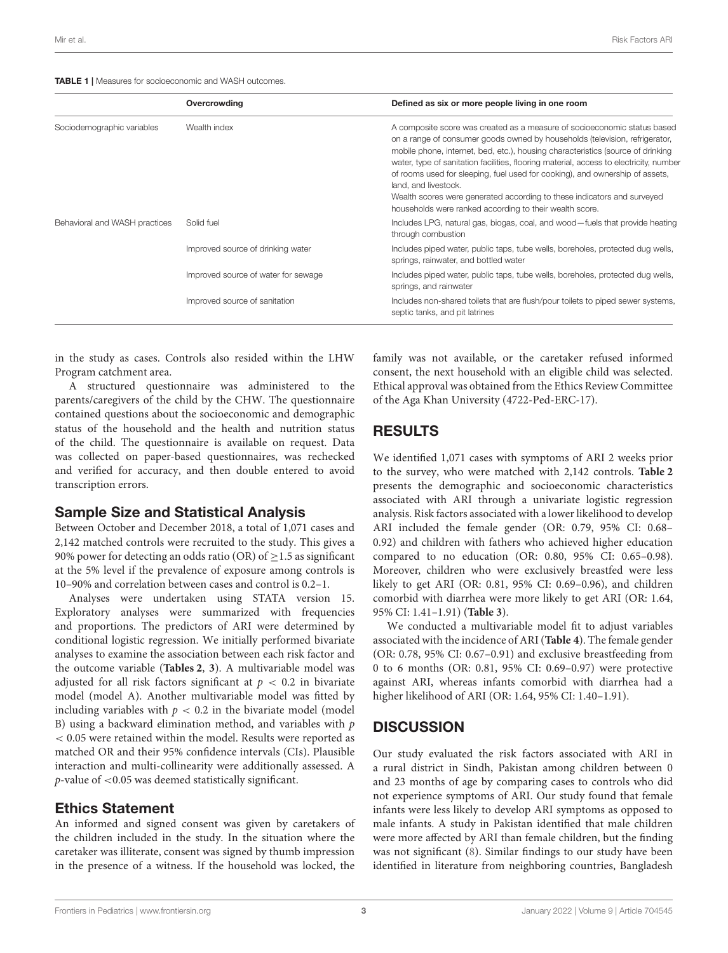<span id="page-4-0"></span>

|                               | Overcrowding                        | Defined as six or more people living in one room                                                                                                                                                                                                                                                                                                                                                                                                                                                                                                                                   |
|-------------------------------|-------------------------------------|------------------------------------------------------------------------------------------------------------------------------------------------------------------------------------------------------------------------------------------------------------------------------------------------------------------------------------------------------------------------------------------------------------------------------------------------------------------------------------------------------------------------------------------------------------------------------------|
| Sociodemographic variables    | Wealth index                        | A composite score was created as a measure of socioeconomic status based<br>on a range of consumer goods owned by households (television, refrigerator,<br>mobile phone, internet, bed, etc.), housing characteristics (source of drinking<br>water, type of sanitation facilities, flooring material, access to electricity, number<br>of rooms used for sleeping, fuel used for cooking), and ownership of assets,<br>land, and livestock.<br>Wealth scores were generated according to these indicators and surveyed<br>households were ranked according to their wealth score. |
| Behavioral and WASH practices | Solid fuel                          | Includes LPG, natural gas, biogas, coal, and wood-fuels that provide heating<br>through combustion                                                                                                                                                                                                                                                                                                                                                                                                                                                                                 |
|                               | Improved source of drinking water   | Includes piped water, public taps, tube wells, boreholes, protected dug wells,<br>springs, rainwater, and bottled water                                                                                                                                                                                                                                                                                                                                                                                                                                                            |
|                               | Improved source of water for sewage | Includes piped water, public taps, tube wells, boreholes, protected dug wells,<br>springs, and rainwater                                                                                                                                                                                                                                                                                                                                                                                                                                                                           |
|                               | Improved source of sanitation       | Includes non-shared toilets that are flush/pour toilets to piped sewer systems,<br>septic tanks, and pit latrines                                                                                                                                                                                                                                                                                                                                                                                                                                                                  |

in the study as cases. Controls also resided within the LHW Program catchment area.

A structured questionnaire was administered to the parents/caregivers of the child by the CHW. The questionnaire contained questions about the socioeconomic and demographic status of the household and the health and nutrition status of the child. The questionnaire is available on request. Data was collected on paper-based questionnaires, was rechecked and verified for accuracy, and then double entered to avoid transcription errors.

#### Sample Size and Statistical Analysis

Between October and December 2018, a total of 1,071 cases and 2,142 matched controls were recruited to the study. This gives a 90% power for detecting an odds ratio (OR) of  $\geq$  1.5 as significant at the 5% level if the prevalence of exposure among controls is 10–90% and correlation between cases and control is 0.2–1.

Analyses were undertaken using STATA version 15. Exploratory analyses were summarized with frequencies and proportions. The predictors of ARI were determined by conditional logistic regression. We initially performed bivariate analyses to examine the association between each risk factor and the outcome variable (**[Tables 2](#page-5-0)**, **[3](#page-5-1)**). A multivariable model was adjusted for all risk factors significant at  $p < 0.2$  in bivariate model (model A). Another multivariable model was fitted by including variables with  $p < 0.2$  in the bivariate model (model B) using a backward elimination method, and variables with  $p$ < 0.05 were retained within the model. Results were reported as matched OR and their 95% confidence intervals (CIs). Plausible interaction and multi-collinearity were additionally assessed. A  $p$ -value of  $<$  0.05 was deemed statistically significant.

## Ethics Statement

An informed and signed consent was given by caretakers of the children included in the study. In the situation where the caretaker was illiterate, consent was signed by thumb impression in the presence of a witness. If the household was locked, the family was not available, or the caretaker refused informed consent, the next household with an eligible child was selected. Ethical approval was obtained from the Ethics Review Committee of the Aga Khan University (4722-Ped-ERC-17).

## RESULTS

We identified 1,071 cases with symptoms of ARI 2 weeks prior to the survey, who were matched with 2,142 controls. **[Table 2](#page-5-0)** presents the demographic and socioeconomic characteristics associated with ARI through a univariate logistic regression analysis. Risk factors associated with a lower likelihood to develop ARI included the female gender (OR: 0.79, 95% CI: 0.68– 0.92) and children with fathers who achieved higher education compared to no education (OR: 0.80, 95% CI: 0.65–0.98). Moreover, children who were exclusively breastfed were less likely to get ARI (OR: 0.81, 95% CI: 0.69–0.96), and children comorbid with diarrhea were more likely to get ARI (OR: 1.64, 95% CI: 1.41–1.91) (**[Table 3](#page-5-1)**).

We conducted a multivariable model fit to adjust variables associated with the incidence of ARI (**[Table 4](#page-6-0)**). The female gender (OR: 0.78, 95% CI: 0.67–0.91) and exclusive breastfeeding from 0 to 6 months (OR: 0.81, 95% CI: 0.69–0.97) were protective against ARI, whereas infants comorbid with diarrhea had a higher likelihood of ARI (OR: 1.64, 95% CI: 1.40–1.91).

# **DISCUSSION**

Our study evaluated the risk factors associated with ARI in a rural district in Sindh, Pakistan among children between 0 and 23 months of age by comparing cases to controls who did not experience symptoms of ARI. Our study found that female infants were less likely to develop ARI symptoms as opposed to male infants. A study in Pakistan identified that male children were more affected by ARI than female children, but the finding was not significant [\(8\)](#page-8-5). Similar findings to our study have been identified in literature from neighboring countries, Bangladesh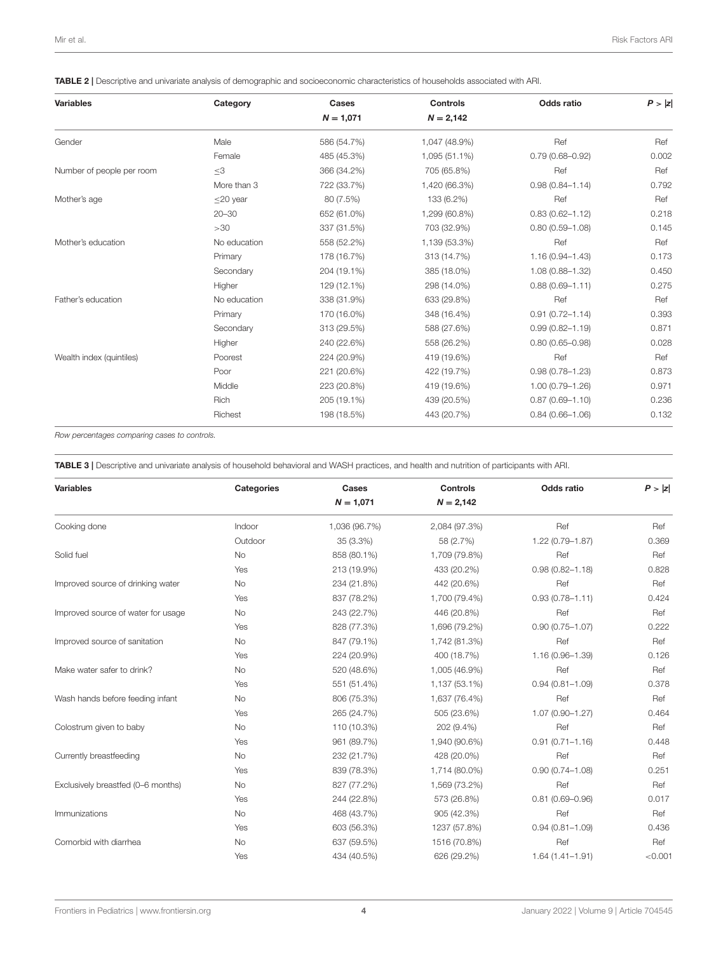<span id="page-5-0"></span>TABLE 2 | Descriptive and univariate analysis of demographic and socioeconomic characteristics of households associated with ARI.

| <b>Variables</b>          | Category     | Cases       | <b>Controls</b> | Odds ratio          | P >  z |
|---------------------------|--------------|-------------|-----------------|---------------------|--------|
|                           |              | $N = 1,071$ | $N = 2,142$     |                     |        |
| Gender                    | Male         | 586 (54.7%) | 1,047 (48.9%)   | Ref                 | Ref    |
|                           | Female       | 485 (45.3%) | 1,095 (51.1%)   | $0.79(0.68 - 0.92)$ | 0.002  |
| Number of people per room | $\leq$ 3     | 366 (34.2%) | 705 (65.8%)     | Ref                 | Ref    |
|                           | More than 3  | 722 (33.7%) | 1,420 (66.3%)   | $0.98(0.84 - 1.14)$ | 0.792  |
| Mother's age              | $<$ 20 year  | 80 (7.5%)   | 133 (6.2%)      | Ref                 | Ref    |
|                           | $20 - 30$    | 652 (61.0%) | 1,299 (60.8%)   | $0.83(0.62 - 1.12)$ | 0.218  |
|                           | >30          | 337 (31.5%) | 703 (32.9%)     | $0.80(0.59 - 1.08)$ | 0.145  |
| Mother's education        | No education | 558 (52.2%) | 1,139 (53.3%)   | Ref                 | Ref    |
|                           | Primary      | 178 (16.7%) | 313 (14.7%)     | $1.16(0.94 - 1.43)$ | 0.173  |
|                           | Secondary    | 204 (19.1%) | 385 (18.0%)     | $1.08(0.88 - 1.32)$ | 0.450  |
|                           | Higher       | 129 (12.1%) | 298 (14.0%)     | $0.88(0.69 - 1.11)$ | 0.275  |
| Father's education        | No education | 338 (31.9%) | 633 (29.8%)     | Ref                 | Ref    |
|                           | Primary      | 170 (16.0%) | 348 (16.4%)     | $0.91(0.72 - 1.14)$ | 0.393  |
|                           | Secondary    | 313 (29.5%) | 588 (27.6%)     | $0.99(0.82 - 1.19)$ | 0.871  |
|                           | Higher       | 240 (22.6%) | 558 (26.2%)     | $0.80(0.65 - 0.98)$ | 0.028  |
| Wealth index (quintiles)  | Poorest      | 224 (20.9%) | 419 (19.6%)     | Ref                 | Ref    |
|                           | Poor         | 221 (20.6%) | 422 (19.7%)     | $0.98(0.78 - 1.23)$ | 0.873  |
|                           | Middle       | 223 (20.8%) | 419 (19.6%)     | $1.00(0.79 - 1.26)$ | 0.971  |
|                           | Rich         | 205 (19.1%) | 439 (20.5%)     | $0.87(0.69 - 1.10)$ | 0.236  |
|                           | Richest      | 198 (18.5%) | 443 (20.7%)     | $0.84(0.66 - 1.06)$ | 0.132  |
|                           |              |             |                 |                     |        |

Row percentages comparing cases to controls.

<span id="page-5-1"></span>TABLE 3 | Descriptive and univariate analysis of household behavioral and WASH practices, and health and nutrition of participants with ARI.

| <b>Variables</b>                   | <b>Categories</b> | Cases<br>$N = 1,071$ | <b>Controls</b><br>$N = 2,142$ | Odds ratio          | P >  z  |
|------------------------------------|-------------------|----------------------|--------------------------------|---------------------|---------|
|                                    |                   |                      |                                |                     |         |
| Cooking done                       | Indoor            | 1,036 (96.7%)        | 2,084 (97.3%)                  | Ref                 | Ref     |
|                                    | Outdoor           | 35 (3.3%)            | 58 (2.7%)                      | $1.22(0.79 - 1.87)$ | 0.369   |
| Solid fuel                         | No                | 858 (80.1%)          | 1,709 (79.8%)                  | Ref                 | Ref     |
|                                    | Yes               | 213 (19.9%)          | 433 (20.2%)                    | $0.98(0.82 - 1.18)$ | 0.828   |
| Improved source of drinking water  | <b>No</b>         | 234 (21.8%)          | 442 (20.6%)                    | Ref                 | Ref     |
|                                    | Yes               | 837 (78.2%)          | 1,700 (79.4%)                  | $0.93(0.78 - 1.11)$ | 0.424   |
| Improved source of water for usage | <b>No</b>         | 243 (22.7%)          | 446 (20.8%)                    | Ref                 | Ref     |
|                                    | Yes               | 828 (77.3%)          | 1,696 (79.2%)                  | $0.90(0.75 - 1.07)$ | 0.222   |
| Improved source of sanitation      | No                | 847 (79.1%)          | 1,742 (81.3%)                  | Ref                 | Ref     |
|                                    | Yes               | 224 (20.9%)          | 400 (18.7%)                    | 1.16 (0.96-1.39)    | 0.126   |
| Make water safer to drink?         | No                | 520 (48.6%)          | 1,005 (46.9%)                  | Ref                 | Ref     |
|                                    | Yes               | 551 (51.4%)          | 1,137 (53.1%)                  | $0.94(0.81 - 1.09)$ | 0.378   |
| Wash hands before feeding infant   | No                | 806 (75.3%)          | 1,637 (76.4%)                  | Ref                 | Ref     |
|                                    | Yes               | 265 (24.7%)          | 505 (23.6%)                    | $1.07(0.90 - 1.27)$ | 0.464   |
| Colostrum given to baby            | <b>No</b>         | 110 (10.3%)          | 202 (9.4%)                     | Ref                 | Ref     |
|                                    | Yes               | 961 (89.7%)          | 1,940 (90.6%)                  | $0.91(0.71 - 1.16)$ | 0.448   |
| Currently breastfeeding            | No                | 232 (21.7%)          | 428 (20.0%)                    | Ref                 | Ref     |
|                                    | Yes               | 839 (78.3%)          | 1,714 (80.0%)                  | $0.90(0.74 - 1.08)$ | 0.251   |
| Exclusively breastfed (0-6 months) | No                | 827 (77.2%)          | 1,569 (73.2%)                  | Ref                 | Ref     |
|                                    | Yes               | 244 (22.8%)          | 573 (26.8%)                    | $0.81(0.69 - 0.96)$ | 0.017   |
| Immunizations                      | No                | 468 (43.7%)          | 905 (42.3%)                    | Ref                 | Ref     |
|                                    | Yes               | 603 (56.3%)          | 1237 (57.8%)                   | $0.94(0.81 - 1.09)$ | 0.436   |
| Comorbid with diarrhea             | No                | 637 (59.5%)          | 1516 (70.8%)                   | Ref                 | Ref     |
|                                    | Yes               | 434 (40.5%)          | 626 (29.2%)                    | $1.64(1.41 - 1.91)$ | < 0.001 |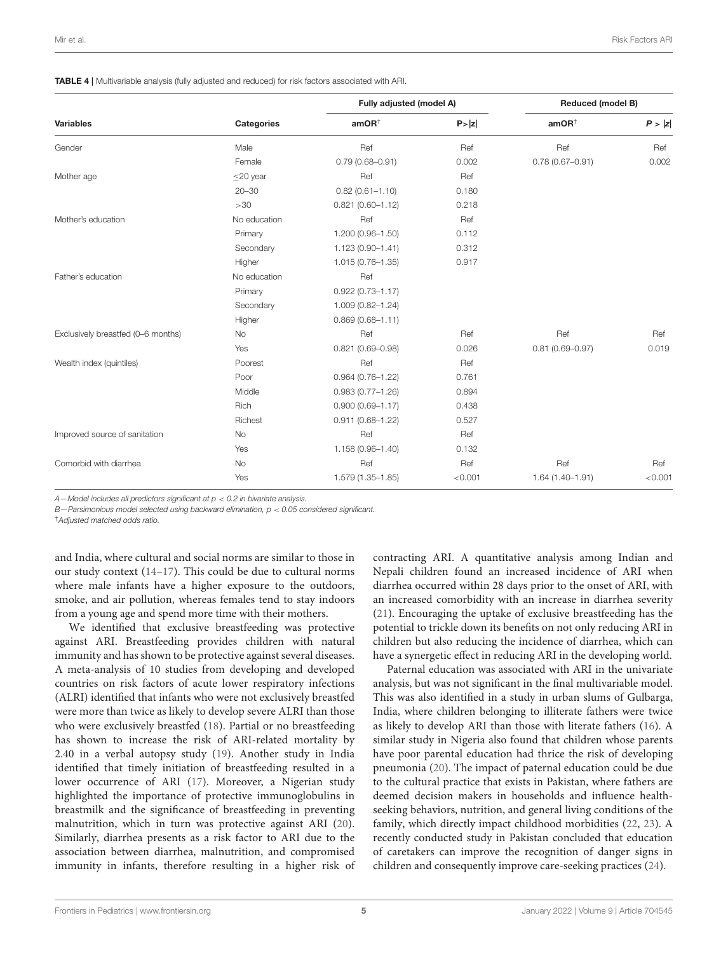<span id="page-6-0"></span>

|                                    | <b>Categories</b> | Fully adjusted (model A)             |         | <b>Reduced (model B)</b>             |         |
|------------------------------------|-------------------|--------------------------------------|---------|--------------------------------------|---------|
| <b>Variables</b>                   |                   | amOR <sup><math>\dagger</math></sup> | P >  z  | amOR <sup><math>\dagger</math></sup> | P >  z  |
| Gender                             | Male              | Ref                                  | Ref     | Ref                                  | Ref     |
|                                    | Female            | $0.79(0.68 - 0.91)$                  | 0.002   | $0.78(0.67 - 0.91)$                  | 0.002   |
| Mother age                         | $\leq$ 20 year    | Ref                                  | Ref     |                                      |         |
|                                    | $20 - 30$         | $0.82(0.61 - 1.10)$                  | 0.180   |                                      |         |
|                                    | >30               | $0.821(0.60 - 1.12)$                 | 0.218   |                                      |         |
| Mother's education                 | No education      | Ref                                  | Ref     |                                      |         |
|                                    | Primary           | 1.200 (0.96-1.50)                    | 0.112   |                                      |         |
|                                    | Secondary         | $1.123(0.90 - 1.41)$                 | 0.312   |                                      |         |
|                                    | Higher            | 1.015 (0.76-1.35)                    | 0.917   |                                      |         |
| Father's education                 | No education      | Ref                                  |         |                                      |         |
|                                    | Primary           | $0.922(0.73 - 1.17)$                 |         |                                      |         |
|                                    | Secondary         | 1.009 (0.82-1.24)                    |         |                                      |         |
|                                    | Higher            | $0.869(0.68 - 1.11)$                 |         |                                      |         |
| Exclusively breastfed (0-6 months) | <b>No</b>         | Ref                                  | Ref     | Ref                                  | Ref     |
|                                    | Yes               | $0.821(0.69 - 0.98)$                 | 0.026   | $0.81(0.69 - 0.97)$                  | 0.019   |
| Wealth index (quintiles)           | Poorest           | Ref                                  | Ref     |                                      |         |
|                                    | Poor              | $0.964(0.76 - 1.22)$                 | 0.761   |                                      |         |
|                                    | Middle            | $0.983(0.77 - 1.26)$                 | 0.894   |                                      |         |
|                                    | Rich              | $0.900(0.69 - 1.17)$                 | 0.438   |                                      |         |
|                                    | Richest           | $0.911(0.68 - 1.22)$                 | 0.527   |                                      |         |
| Improved source of sanitation      | <b>No</b>         | Ref                                  | Ref     |                                      |         |
|                                    | Yes               | 1.158 (0.96-1.40)                    | 0.132   |                                      |         |
| Comorbid with diarrhea             | <b>No</b>         | Ref                                  | Ref     | Ref                                  | Ref     |
|                                    | Yes               | 1.579 (1.35-1.85)                    | < 0.001 | $1.64(1.40 - 1.91)$                  | < 0.001 |

 $A$ -Model includes all predictors significant at  $p < 0.2$  in bivariate analysis.

 $B$ —Parsimonious model selected using backward elimination,  $p < 0.05$  considered significant.

†Adjusted matched odds ratio.

and India, where cultural and social norms are similar to those in our study context [\(14–](#page-8-11)[17\)](#page-8-12). This could be due to cultural norms where male infants have a higher exposure to the outdoors, smoke, and air pollution, whereas females tend to stay indoors from a young age and spend more time with their mothers.

We identified that exclusive breastfeeding was protective against ARI. Breastfeeding provides children with natural immunity and has shown to be protective against several diseases. A meta-analysis of 10 studies from developing and developed countries on risk factors of acute lower respiratory infections (ALRI) identified that infants who were not exclusively breastfed were more than twice as likely to develop severe ALRI than those who were exclusively breastfed [\(18\)](#page-8-13). Partial or no breastfeeding has shown to increase the risk of ARI-related mortality by 2.40 in a verbal autopsy study [\(19\)](#page-8-14). Another study in India identified that timely initiation of breastfeeding resulted in a lower occurrence of ARI [\(17\)](#page-8-12). Moreover, a Nigerian study highlighted the importance of protective immunoglobulins in breastmilk and the significance of breastfeeding in preventing malnutrition, which in turn was protective against ARI [\(20\)](#page-8-15). Similarly, diarrhea presents as a risk factor to ARI due to the association between diarrhea, malnutrition, and compromised immunity in infants, therefore resulting in a higher risk of

contracting ARI. A quantitative analysis among Indian and Nepali children found an increased incidence of ARI when diarrhea occurred within 28 days prior to the onset of ARI, with an increased comorbidity with an increase in diarrhea severity [\(21\)](#page-8-16). Encouraging the uptake of exclusive breastfeeding has the potential to trickle down its benefits on not only reducing ARI in children but also reducing the incidence of diarrhea, which can have a synergetic effect in reducing ARI in the developing world.

Paternal education was associated with ARI in the univariate analysis, but was not significant in the final multivariable model. This was also identified in a study in urban slums of Gulbarga, India, where children belonging to illiterate fathers were twice as likely to develop ARI than those with literate fathers [\(16\)](#page-8-17). A similar study in Nigeria also found that children whose parents have poor parental education had thrice the risk of developing pneumonia [\(20\)](#page-8-15). The impact of paternal education could be due to the cultural practice that exists in Pakistan, where fathers are deemed decision makers in households and influence healthseeking behaviors, nutrition, and general living conditions of the family, which directly impact childhood morbidities [\(22,](#page-8-18) [23\)](#page-8-19). A recently conducted study in Pakistan concluded that education of caretakers can improve the recognition of danger signs in children and consequently improve care-seeking practices [\(24\)](#page-8-20).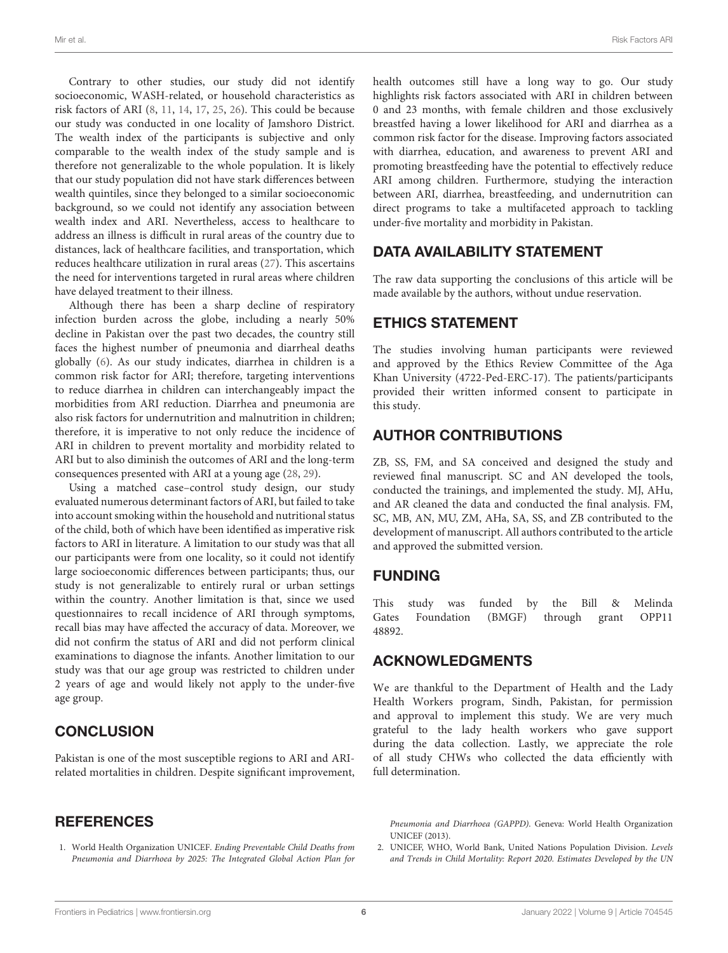Contrary to other studies, our study did not identify socioeconomic, WASH-related, or household characteristics as risk factors of ARI [\(8,](#page-8-5) [11,](#page-8-8) [14,](#page-8-11) [17,](#page-8-12) [25,](#page-8-21) [26\)](#page-8-22). This could be because our study was conducted in one locality of Jamshoro District. The wealth index of the participants is subjective and only comparable to the wealth index of the study sample and is therefore not generalizable to the whole population. It is likely that our study population did not have stark differences between wealth quintiles, since they belonged to a similar socioeconomic background, so we could not identify any association between wealth index and ARI. Nevertheless, access to healthcare to address an illness is difficult in rural areas of the country due to distances, lack of healthcare facilities, and transportation, which reduces healthcare utilization in rural areas [\(27\)](#page-8-23). This ascertains the need for interventions targeted in rural areas where children have delayed treatment to their illness.

Although there has been a sharp decline of respiratory infection burden across the globe, including a nearly 50% decline in Pakistan over the past two decades, the country still faces the highest number of pneumonia and diarrheal deaths globally [\(6\)](#page-8-3). As our study indicates, diarrhea in children is a common risk factor for ARI; therefore, targeting interventions to reduce diarrhea in children can interchangeably impact the morbidities from ARI reduction. Diarrhea and pneumonia are also risk factors for undernutrition and malnutrition in children; therefore, it is imperative to not only reduce the incidence of ARI in children to prevent mortality and morbidity related to ARI but to also diminish the outcomes of ARI and the long-term consequences presented with ARI at a young age [\(28,](#page-8-24) [29\)](#page-8-25).

Using a matched case–control study design, our study evaluated numerous determinant factors of ARI, but failed to take into account smoking within the household and nutritional status of the child, both of which have been identified as imperative risk factors to ARI in literature. A limitation to our study was that all our participants were from one locality, so it could not identify large socioeconomic differences between participants; thus, our study is not generalizable to entirely rural or urban settings within the country. Another limitation is that, since we used questionnaires to recall incidence of ARI through symptoms, recall bias may have affected the accuracy of data. Moreover, we did not confirm the status of ARI and did not perform clinical examinations to diagnose the infants. Another limitation to our study was that our age group was restricted to children under 2 years of age and would likely not apply to the under-five age group.

## **CONCLUSION**

Pakistan is one of the most susceptible regions to ARI and ARIrelated mortalities in children. Despite significant improvement,

# **REFERENCES**

<span id="page-7-0"></span>1. World Health Organization UNICEF. Ending Preventable Child Deaths from Pneumonia and Diarrhoea by 2025: The Integrated Global Action Plan for health outcomes still have a long way to go. Our study highlights risk factors associated with ARI in children between 0 and 23 months, with female children and those exclusively breastfed having a lower likelihood for ARI and diarrhea as a common risk factor for the disease. Improving factors associated with diarrhea, education, and awareness to prevent ARI and promoting breastfeeding have the potential to effectively reduce ARI among children. Furthermore, studying the interaction between ARI, diarrhea, breastfeeding, and undernutrition can direct programs to take a multifaceted approach to tackling under-five mortality and morbidity in Pakistan.

## DATA AVAILABILITY STATEMENT

The raw data supporting the conclusions of this article will be made available by the authors, without undue reservation.

## ETHICS STATEMENT

The studies involving human participants were reviewed and approved by the Ethics Review Committee of the Aga Khan University (4722-Ped-ERC-17). The patients/participants provided their written informed consent to participate in this study.

## AUTHOR CONTRIBUTIONS

ZB, SS, FM, and SA conceived and designed the study and reviewed final manuscript. SC and AN developed the tools, conducted the trainings, and implemented the study. MJ, AHu, and AR cleaned the data and conducted the final analysis. FM, SC, MB, AN, MU, ZM, AHa, SA, SS, and ZB contributed to the development of manuscript. All authors contributed to the article and approved the submitted version.

#### FUNDING

This study was funded by the Bill & Melinda Gates Foundation (BMGF) through grant OPP11 48892.

### ACKNOWLEDGMENTS

We are thankful to the Department of Health and the Lady Health Workers program, Sindh, Pakistan, for permission and approval to implement this study. We are very much grateful to the lady health workers who gave support during the data collection. Lastly, we appreciate the role of all study CHWs who collected the data efficiently with full determination.

Pneumonia and Diarrhoea (GAPPD). Geneva: World Health Organization UNICEF (2013).

<span id="page-7-1"></span>2. UNICEF, WHO, World Bank, United Nations Population Division. Levels and Trends in Child Mortality: Report 2020. Estimates Developed by the UN